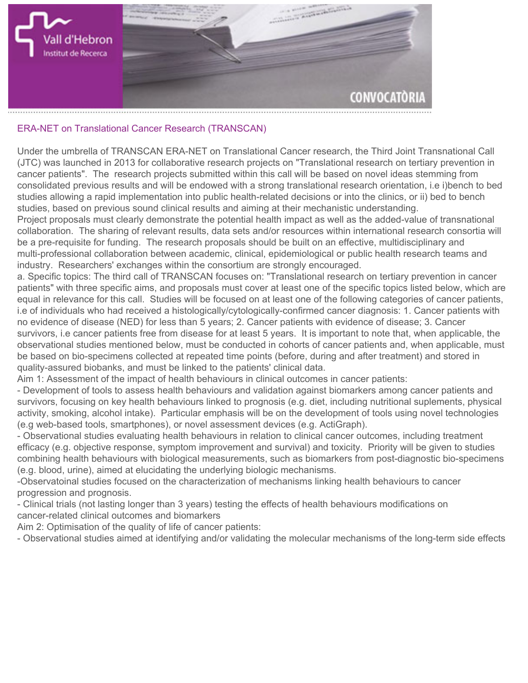

## **ERA-NET on Translational Cancer Research (TRANSCAN)**

**Under the umbrella of TRANSCAN ERA-NET on Translational Cancer research, the Third Joint Transnational Call (JTC) was launched in 2013 for collaborative research projects on "Translational research on tertiary prevention in cancer patients". The research projects submitted within this call will be based on novel ideas stemming from consolidated previous results and will be endowed with a strong translational research orientation, i.e i)bench to bed studies allowing a rapid implementation into public health-related decisions or into the clinics, or ii) bed to bench studies, based on previous sound clinical results and aiming at their mechanistic understanding.**

**Project proposals must clearly demonstrate the potential health impact as well as the added-value of transnational collaboration. The sharing of relevant results, data sets and/or resources within international research consortia will be a pre-requisite for funding. The research proposals should be built on an effective, multidisciplinary and multi-professional collaboration between academic, clinical, epidemiological or public health research teams and industry. Researchers' exchanges within the consortium are strongly encouraged.**

**a. Specific topics: The third call of TRANSCAN focuses on: "Translational research on tertiary prevention in cancer patients" with three specific aims, and proposals must cover at least one of the specific topics listed below, which are equal in relevance for this call. Studies will be focused on at least one of the following categories of cancer patients, i.e of individuals who had received a histologically/cytologically-confirmed cancer diagnosis: 1. Cancer patients with no evidence of disease (NED) for less than 5 years; 2. Cancer patients with evidence of disease; 3. Cancer survivors, i.e cancer patients free from disease for at least 5 years. It is important to note that, when applicable, the observational studies mentioned below, must be conducted in cohorts of cancer patients and, when applicable, must be based on bio-specimens collected at repeated time points (before, during and after treatment) and stored in quality-assured biobanks, and must be linked to the patients' clinical data.**

**Aim 1: Assessment of the impact of health behaviours in clinical outcomes in cancer patients:**

**- Development of tools to assess health behaviours and validation against biomarkers among cancer patients and survivors, focusing on key health behaviours linked to prognosis (e.g. diet, including nutritional suplements, physical activity, smoking, alcohol intake). Particular emphasis will be on the development of tools using novel technologies (e.g web-based tools, smartphones), or novel assessment devices (e.g. ActiGraph).**

**- Observational studies evaluating health behaviours in relation to clinical cancer outcomes, including treatment efficacy (e.g. objective response, symptom improvement and survival) and toxicity. Priority will be given to studies combining health behaviours with biological measurements, such as biomarkers from post-diagnostic bio-specimens (e.g. blood, urine), aimed at elucidating the underlying biologic mechanisms.**

**-Observatoinal studies focused on the characterization of mechanisms linking health behaviours to cancer progression and prognosis.**

**- Clinical trials (not lasting longer than 3 years) testing the effects of health behaviours modifications on cancer-related clinical outcomes and biomarkers**

**Aim 2: Optimisation of the quality of life of cancer patients:**

**- Observational studies aimed at identifying and/or validating the molecular mechanisms of the long-term side effects**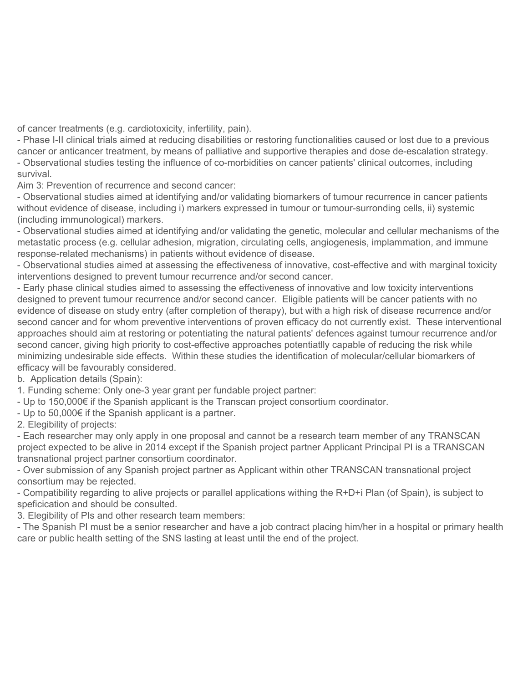**of cancer treatments (e.g. cardiotoxicity, infertility, pain).**

**- Phase I-II clinical trials aimed at reducing disabilities or restoring functionalities caused or lost due to a previous cancer or anticancer treatment, by means of palliative and supportive therapies and dose de-escalation strategy. - Observational studies testing the influence of co-morbidities on cancer patients' clinical outcomes, including survival.**

**Aim 3: Prevention of recurrence and second cancer:**

**- Observational studies aimed at identifying and/or validating biomarkers of tumour recurrence in cancer patients without evidence of disease, including i) markers expressed in tumour or tumour-surronding cells, ii) systemic (including immunological) markers.**

**- Observational studies aimed at identifying and/or validating the genetic, molecular and cellular mechanisms of the metastatic process (e.g. cellular adhesion, migration, circulating cells, angiogenesis, implammation, and immune response-related mechanisms) in patients without evidence of disease.**

**- Observational studies aimed at assessing the effectiveness of innovative, cost-effective and with marginal toxicity interventions designed to prevent tumour recurrence and/or second cancer.**

**- Early phase clinical studies aimed to assessing the effectiveness of innovative and low toxicity interventions designed to prevent tumour recurrence and/or second cancer. Eligible patients will be cancer patients with no evidence of disease on study entry (after completion of therapy), but with a high risk of disease recurrence and/or second cancer and for whom preventive interventions of proven efficacy do not currently exist. These interventional approaches should aim at restoring or potentiating the natural patients' defences against tumour recurrence and/or second cancer, giving high priority to cost-effective approaches potentiatlly capable of reducing the risk while minimizing undesirable side effects. Within these studies the identification of molecular/cellular biomarkers of efficacy will be favourably considered.**

**b. Application details (Spain):**

**1. Funding scheme: Only one-3 year grant per fundable project partner:**

**- Up to 150,000€ if the Spanish applicant is the Transcan project consortium coordinator.**

**- Up to 50,000€ if the Spanish applicant is a partner.**

**2. Elegibility of projects:**

**- Each researcher may only apply in one proposal and cannot be a research team member of any TRANSCAN project expected to be alive in 2014 except if the Spanish project partner Applicant Principal PI is a TRANSCAN transnational project partner consortium coordinator.**

**- Over submission of any Spanish project partner as Applicant within other TRANSCAN transnational project consortium may be rejected.**

**- Compatibility regarding to alive projects or parallel applications withing the R+D+i Plan (of Spain), is subject to speficication and should be consulted.**

**3. Elegibility of PIs and other research team members:**

**- The Spanish PI must be a senior researcher and have a job contract placing him/her in a hospital or primary health care or public health setting of the SNS lasting at least until the end of the project.**